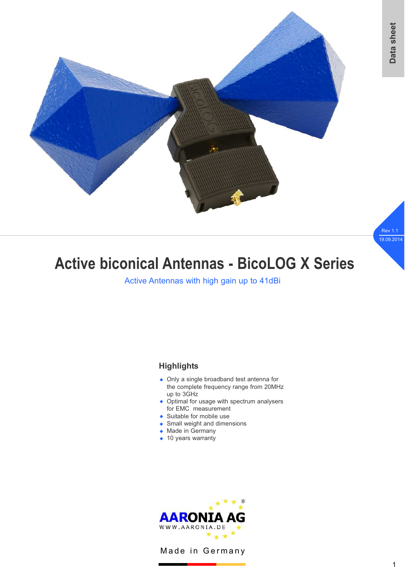

# **Active biconical Antennas - BicoLOG X Series**

Active Antennas with high gain up to 41dBi

## **Highlights**

- Only a single broadband test antenna for the complete frequency range from 20MHz up to 3GHz
- Optimal for usage with spectrum analysers for EMC measurement
- ◆ Suitable for mobile use
- Small weight and dimensions
- ◆ Made in Germany
- $\bullet$  10 years warranty



Made in Germany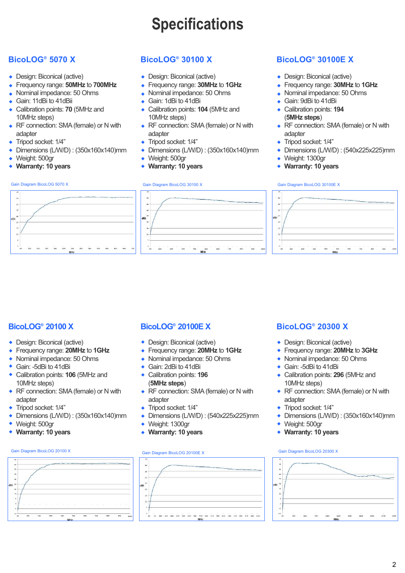# **Specifications**

- Design: Biconical (active)
- Frequency range: **50MHz** to **700MHz** w
- Nominal impedance: 50 Ohms
- ◆ Gain: 11dBi to 41dBii
- Calibration points: **70** (5MHz and 10MHz steps)
- RF connection: SMA (female) or N with adapter
- Tripod socket: 1/4" w
- Dimensions (L/W/D) : (350x160x140)mm  $\ddot{\bullet}$
- ◆ Weight: 500gr
- **Warranty: 10 years** w

## **BicoLOG® 5070 X BicoLOG® 30100 X BicoLOG® 30100E X**

- Design: Biconical (active)
- Frequency range: **30MHz** to **1GHz** w
- Nominal impedance: 50 Ohms
- ◆ Gain: 1dBi to 41dBi
- Calibration points: **104** (5MHz and 10MHz steps)
- RF connection: SMA (female) or N with adapter
- Tripod socket: 1/4" w
- Dimensions (L/W/D) : (350x160x140)mm  $\ddot{\bullet}$
- ◆ Weight: 500gr
- **Warranty: 10 years** w

- Design: Biconical (active)
- Frequency range: **30MHz** to **1GHz** w
- Nominal impedance: 50 Ohms
- ◆ Gain: 9dBi to 41dBi
- ◆ Calibration points: 194 (**5MHz steps**)
- RF connection: SMA (female) or N with adapter
- Tripod socket: 1/4" w
- Dimensions (L/W/D) : (540x225x225)mm  $\ddot{\bullet}$
- Weight: 1300gr w
- **Warranty: 10 years** w





### Gain Diagram BicoLOG 5070 X Gain Diagram BicoLOG 30100 X Gain Diagram BicoLOG 30100 EX



## **BicoLOG® 20100 X**

- Design: Biconical (active)
- Frequency range: **20MHz** to **1GHz** w
- Nominal impedance: 50 Ohms
- ◆ Gain: -5dBi to 41dBi
- ◆ Calibration points: **106** (5MHz and 10MHz steps)
- RF connection: SMA (female) or N with adapter
- Tripod socket: 1/4"  $\ddot{\bullet}$
- Dimensions (L/W/D) : (350x160x140)mm w
- Weight: 500gr  $\ddot{\bullet}$
- **Warranty: 10 years** w

### Gain Diagram BicoLOG 20100 X Gain Diagram BicoLOG 20100E X Gain Diagram BicoLOG 20300 X



- Design: Biconical (active)
- Frequency range: **20MHz** to **1GHz** w
- Nominal impedance: 50 Ohms
- ◆ Gain: 2dBi to 41dBi
- ◆ Calibration points: 196 (**5MHz steps**)
- RF connection: SMA (female) or N with adapter
- Tripod socket: 1/4" w
- Dimensions (L/W/D) : (540x225x225)mm w
- Weight: 1300gr  $\ddot{\bullet}$
- ◆ Warranty: 10 years



## **BicoLOG® 20100E X BicoLOG® 20300 X**

- Design: Biconical (active)
- Frequency range: **20MHz** to **3GHz** w
- Nominal impedance: 50 Ohms
- ◆ Gain: -5dBi to 41dBi
- Calibration points: 296 (5MHz and 10MHz steps)
- RF connection: SMA (female) or N with adapter
- ◆ Tripod socket: 1/4"
- Dimensions (L/W/D) : (350x160x140)mm  $\ddot{\bullet}$
- Weight: 500gr w
- **Warranty: 10 years** w

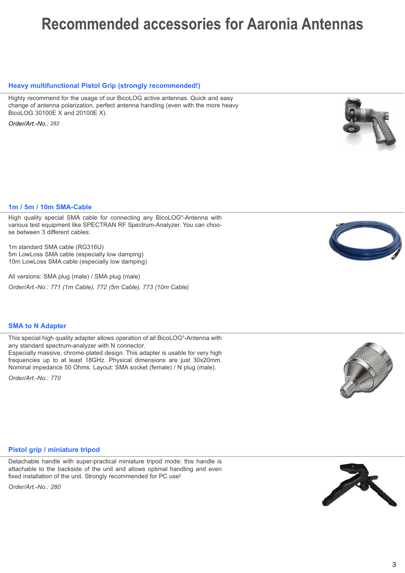# **Recommended accessories for Aaronia Antennas**

### **Heavy multifunctional Pistol Grip (strongly recommended!)**

Highly recommend for the usage of our BicoLOG active antennas. Quick and easy change of antenna polarization, perfect antenna handling (even with the more heavy BicoLOG 30100E X and 20100E X).

*Order/Art.-No.: 282*

### **1m / 5m / 10m SMA-Cable**

High quality special SMA cable for connecting any BicoLOG® -Antenna with various test equipment like SPECTRAN RF Spectrum-Analyzer. You can choose between 3 different cables:

1m standard SMA cable (RG316U) 5m LowLoss SMA cable (especially low damping) 10m LowLoss SMA cable (especially low damping)

All versions: SMA plug (male) / SMA plug (male) *Order/Art.-No.: 771 (1m Cable), 772 (5m Cable), 773 (10m Cable)*

### **SMA to N Adapter**

This special high quality adapter allows operation of all BicoLOG® -Antenna with any standard spectrum-analyzer with N connector. Especially massive, chrome-plated design. This adapter is usable for very high frequencies up to at least 18GHz. Physical dimensions are just 30x20mm. Nominal impedance 50 Ohms. Layout: SMA socket (female) / N plug (male).

*Order/Art.-No.: 770*

### **Pistol grip / miniature tripod**

Detachable handle with super-practical miniature tripod mode: this handle is attachable to the backside of the unit and allows optimal handling and even fixed installation of the unit. Strongly recommended for PC use!

*Order/Art.-No.: 280*







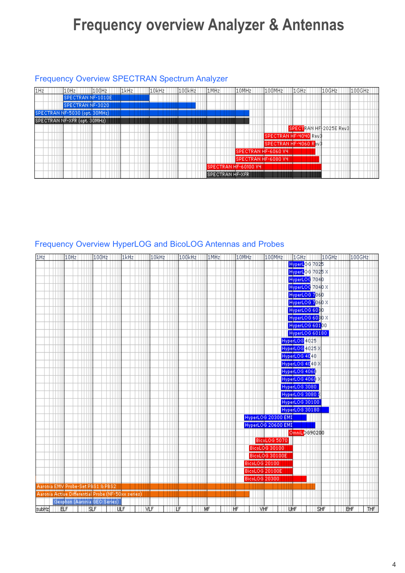# **Frequency overview Analyzer & Antennas**

## Frequency Overview SPECTRAN Spectrum Analyzer



# Frequency Overview HyperLOG and BicoLOG Antennas and Probes

| 1H <sub>z</sub> | 10Hz                                               | 100Hz | 1kHz | 10kHz | 100kHz | 1MHz | 10MHz | 100MHz                        | 1GHz                              | 10GHz | 100GHz     |
|-----------------|----------------------------------------------------|-------|------|-------|--------|------|-------|-------------------------------|-----------------------------------|-------|------------|
|                 |                                                    |       |      |       |        |      |       |                               | HyperLOG 7025                     |       |            |
|                 |                                                    |       |      |       |        |      |       |                               | HyperLOG 7025 X                   |       |            |
|                 |                                                    |       |      |       |        |      |       |                               | HyperLOG 7040<br>HyperLOG 7040 X  |       |            |
|                 |                                                    |       |      |       |        |      |       |                               |                                   |       |            |
|                 |                                                    |       |      |       |        |      |       |                               | HyperLOG 706D                     |       |            |
|                 |                                                    |       |      |       |        |      |       |                               | HyperLOG 7060 X                   |       |            |
|                 |                                                    |       |      |       |        |      |       |                               | HyperLOG 6030                     |       |            |
|                 |                                                    |       |      |       |        |      |       |                               | HyperLOG 6030 X                   |       |            |
|                 |                                                    |       |      |       |        |      |       |                               | HyperLOG 60100                    |       |            |
|                 |                                                    |       |      |       |        |      |       |                               | HyperLOG 60180                    |       |            |
|                 |                                                    |       |      |       |        |      |       |                               | HyperLOG 4025                     |       |            |
|                 |                                                    |       |      |       |        |      |       |                               | HyperLOG 4025 X                   |       |            |
|                 |                                                    |       |      |       |        |      |       |                               | HyperLOG 4040<br>HyperLOG 4040 X  |       |            |
|                 |                                                    |       |      |       |        |      |       |                               |                                   |       |            |
|                 |                                                    |       |      |       |        |      |       |                               | HyperLOG 4060                     |       |            |
|                 |                                                    |       |      |       |        |      |       |                               | HyperLOG 4060 X                   |       |            |
|                 |                                                    |       |      |       |        |      |       |                               | HyperLOG 3080                     |       |            |
|                 |                                                    |       |      |       |        |      |       |                               |                                   |       |            |
|                 |                                                    |       |      |       |        |      |       |                               | HyperLOG 3080 %<br>HyperLOG 30100 |       |            |
|                 |                                                    |       |      |       |        |      |       |                               | HyperLOG 30180                    |       |            |
|                 |                                                    |       |      |       |        |      |       | HyperLOG 20300 EMI            |                                   |       |            |
|                 |                                                    |       |      |       |        |      |       | HyperLOG 20600 EMI            |                                   |       |            |
|                 |                                                    |       |      |       |        |      |       |                               | OmniLOG90200                      |       |            |
|                 |                                                    |       |      |       |        |      |       |                               |                                   |       |            |
|                 |                                                    |       |      |       |        |      |       | BicoLOG 5070<br>BicoLOG 30100 |                                   |       |            |
|                 |                                                    |       |      |       |        |      |       | <b>BicoLOG 30100E</b>         |                                   |       |            |
|                 |                                                    |       |      |       |        |      |       | BicoLOG 20100                 |                                   |       |            |
|                 |                                                    |       |      |       |        |      |       | BicoLOG 20100E                |                                   |       |            |
|                 |                                                    |       |      |       |        |      |       | BicoLOG 20300                 |                                   |       |            |
|                 | Aaronia EMV Probe-Set PBS1 & PBS2                  |       |      |       |        |      |       |                               |                                   |       |            |
|                 | Aaronia Active Differential Probe (NF-50xx series) |       |      |       |        |      |       |                               |                                   |       |            |
|                 | Geophon (Aaronia GEO Series)                       |       |      |       |        |      |       |                               |                                   |       |            |
| subHz           | ELF                                                | SLF   | ШF   | VLF   | LF     | MF   | HF    | <b>VHF</b>                    | UHF                               | SHF   | THF<br>EHF |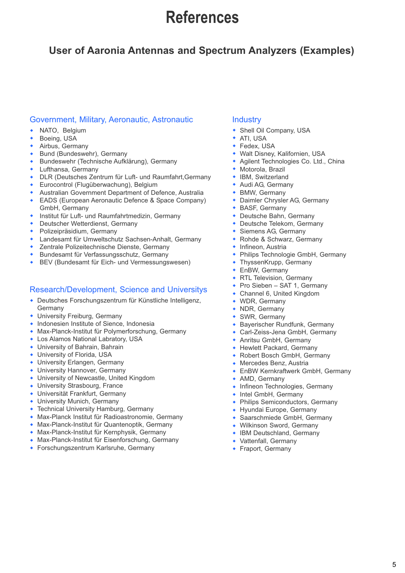# **References**

# **User of Aaronia Antennas and Spectrum Analyzers (Examples)**

## Government, Military, Aeronautic, Astronautic

- NATO, Belgium w
- Boeing, USA w
- Airbus, Germany w
- Bund (Bundeswehr), Germany w
- Bundeswehr (Technische Aufklärung), Germany w
- Lufthansa, Germany w
- DLR (Deutsches Zentrum für Luft- und Raumfahrt,Germany w
- Eurocontrol (Flugüberwachung), Belgium w
- Australian Government Department of Defence, Australia w
- EADS (European Aeronautic Defence & Space Company) GmbH, Germany w
- Institut für Luft- und Raumfahrtmedizin, Germany w
- Deutscher Wetterdienst, Germany w
- Polizeipräsidium, Germany w
- Landesamt für Umweltschutz Sachsen-Anhalt, Germany w
- Zentrale Polizeitechnische Dienste, Germany w
- Bundesamt für Verfassungsschutz, Germany w
- BEV (Bundesamt für Eich- und Vermessungswesen) w

## Research/Development, Science and Universitys

- Deutsches Forschungszentrum für Künstliche Intelligenz, w Germany
- University Freiburg, Germany
- Indonesien Institute of Sience, Indonesia
- Max-Planck-Institut für Polymerforschung, Germany w
- Los Alamos National Labratory, USA w
- University of Bahrain, Bahrain
- University of Florida, USA
- University Erlangen, Germany
- University Hannover, Germany
- University of Newcastle, United Kingdom w
- University Strasbourg, France w
- Universität Frankfurt, Germany
- University Munich, Germany
- **Technical University Hamburg, Germany**
- **Max-Planck Institut für Radioastronomie, Germany**
- Max-Planck-Institut für Quantenoptik, Germany
- Max-Planck-Institut für Kernphysik, Germany
- Max-Planck-Institut für Eisenforschung, Germany
- **Forschungszentrum Karlsruhe, Germany**

## **Industry**

- Shell Oil Company, USA
- ATI, USA
- Fedex, USA
- Walt Disney, Kalifornien, USA
- Agilent Technologies Co. Ltd., China
- Motorola, Brazil
- IBM, Switzerland
- Audi AG, Germany
- $\bullet$  BMW, Germany
- Daimler Chrysler AG, Germany
- BASF, Germany
- Deutsche Bahn, Germany
- Deutsche Telekom, Germany
- Siemens AG, Germany
- Rohde & Schwarz, Germany
- Infineon, Austria
- Philips Technologie GmbH, Germany
- ThyssenKrupp, Germany
- $\bullet$  EnBW, Germany
- RTL Television, Germany
- Pro Sieben SAT 1, Germany
- Channel 6, United Kingdom
- WDR, Germany
- $\bullet$  NDR, Germany
- $\bullet$  SWR, Germany
- Bayerischer Rundfunk, Germany
- Carl-Zeiss-Jena GmbH, Germany
- **Anritsu GmbH, Germany**
- Hewlett Packard, Germany
- Robert Bosch GmbH, Germany
- Mercedes Benz, Austria
- EnBW Kernkraftwerk GmbH, Germany
- AMD, Germany
- Infineon Technologies, Germany
- Intel GmbH, Germany
- Philips Semiconductors, Germany
- Hyundai Europe, Germany
- Saarschmiede GmbH, Germany
- Wilkinson Sword, Germany
- IBM Deutschland, Germany
- Vattenfall, Germany
- Fraport, Germany